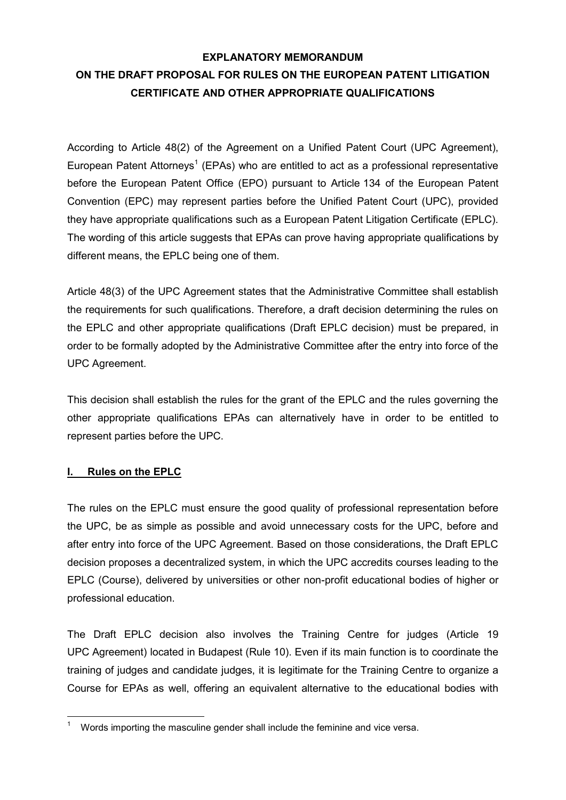# **EXPLANATORY MEMORANDUM ON THE DRAFT PROPOSAL FOR RULES ON THE EUROPEAN PATENT LITIGATION CERTIFICATE AND OTHER APPROPRIATE QUALIFICATIONS**

According to Article 48(2) of the Agreement on a Unified Patent Court (UPC Agreement), European Patent Attorneys<sup>1</sup> (EPAs) who are entitled to act as a professional representative before the European Patent Office (EPO) pursuant to Article 134 of the European Patent Convention (EPC) may represent parties before the Unified Patent Court (UPC), provided they have appropriate qualifications such as a European Patent Litigation Certificate (EPLC). The wording of this article suggests that EPAs can prove having appropriate qualifications by different means, the EPLC being one of them.

Article 48(3) of the UPC Agreement states that the Administrative Committee shall establish the requirements for such qualifications. Therefore, a draft decision determining the rules on the EPLC and other appropriate qualifications (Draft EPLC decision) must be prepared, in order to be formally adopted by the Administrative Committee after the entry into force of the UPC Agreement.

This decision shall establish the rules for the grant of the EPLC and the rules governing the other appropriate qualifications EPAs can alternatively have in order to be entitled to represent parties before the UPC.

## **I. Rules on the EPLC**

The rules on the EPLC must ensure the good quality of professional representation before the UPC, be as simple as possible and avoid unnecessary costs for the UPC, before and after entry into force of the UPC Agreement. Based on those considerations, the Draft EPLC decision proposes a decentralized system, in which the UPC accredits courses leading to the EPLC (Course), delivered by universities or other non-profit educational bodies of higher or professional education.

The Draft EPLC decision also involves the Training Centre for judges (Article 19 UPC Agreement) located in Budapest (Rule 10). Even if its main function is to coordinate the training of judges and candidate judges, it is legitimate for the Training Centre to organize a Course for EPAs as well, offering an equivalent alternative to the educational bodies with

<sup>1</sup> <sup>1</sup> Words importing the masculine gender shall include the feminine and vice versa.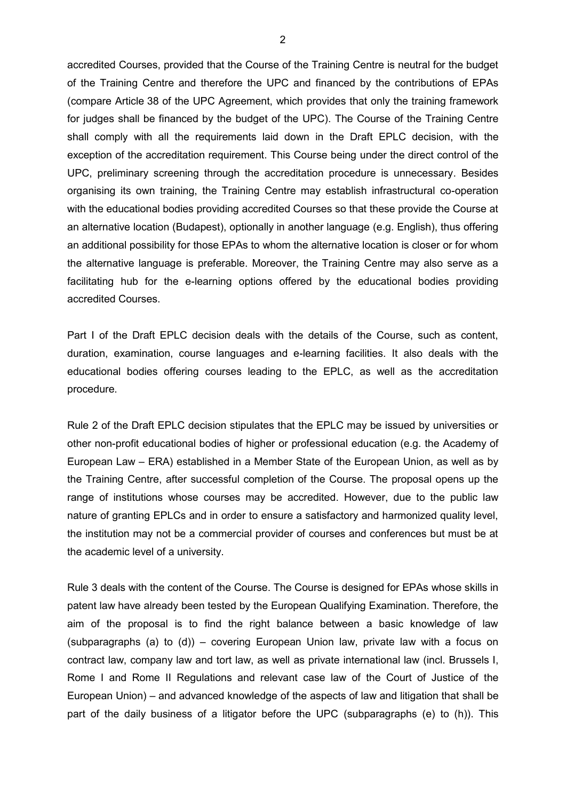accredited Courses, provided that the Course of the Training Centre is neutral for the budget of the Training Centre and therefore the UPC and financed by the contributions of EPAs (compare Article 38 of the UPC Agreement, which provides that only the training framework for judges shall be financed by the budget of the UPC). The Course of the Training Centre shall comply with all the requirements laid down in the Draft EPLC decision, with the exception of the accreditation requirement. This Course being under the direct control of the UPC, preliminary screening through the accreditation procedure is unnecessary. Besides organising its own training, the Training Centre may establish infrastructural co-operation with the educational bodies providing accredited Courses so that these provide the Course at an alternative location (Budapest), optionally in another language (e.g. English), thus offering an additional possibility for those EPAs to whom the alternative location is closer or for whom the alternative language is preferable. Moreover, the Training Centre may also serve as a facilitating hub for the e-learning options offered by the educational bodies providing accredited Courses.

Part I of the Draft EPLC decision deals with the details of the Course, such as content, duration, examination, course languages and e-learning facilities. It also deals with the educational bodies offering courses leading to the EPLC, as well as the accreditation procedure.

Rule 2 of the Draft EPLC decision stipulates that the EPLC may be issued by universities or other non-profit educational bodies of higher or professional education (e.g. the Academy of European Law – ERA) established in a Member State of the European Union, as well as by the Training Centre, after successful completion of the Course. The proposal opens up the range of institutions whose courses may be accredited. However, due to the public law nature of granting EPLCs and in order to ensure a satisfactory and harmonized quality level, the institution may not be a commercial provider of courses and conferences but must be at the academic level of a university.

Rule 3 deals with the content of the Course. The Course is designed for EPAs whose skills in patent law have already been tested by the European Qualifying Examination. Therefore, the aim of the proposal is to find the right balance between a basic knowledge of law (subparagraphs (a) to  $(d)$ ) – covering European Union law, private law with a focus on contract law, company law and tort law, as well as private international law (incl. Brussels I, Rome I and Rome II Regulations and relevant case law of the Court of Justice of the European Union) – and advanced knowledge of the aspects of law and litigation that shall be part of the daily business of a litigator before the UPC (subparagraphs (e) to (h)). This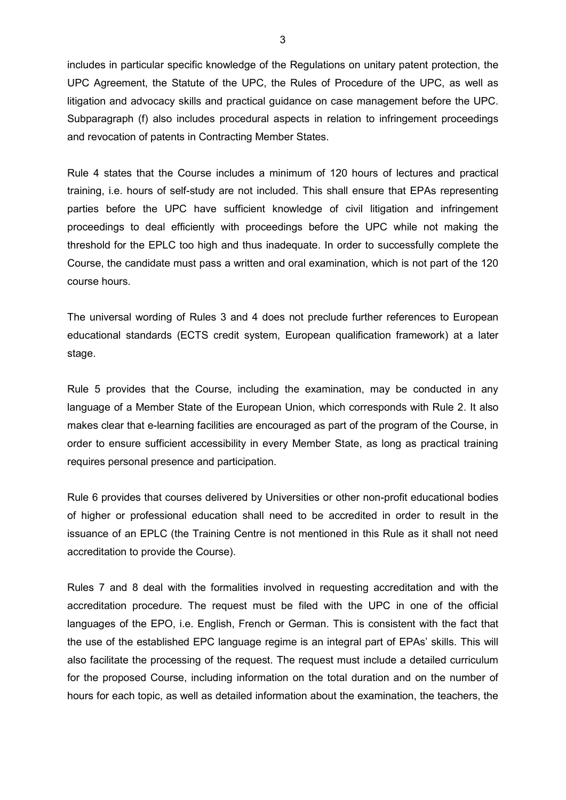includes in particular specific knowledge of the Regulations on unitary patent protection, the UPC Agreement, the Statute of the UPC, the Rules of Procedure of the UPC, as well as litigation and advocacy skills and practical guidance on case management before the UPC. Subparagraph (f) also includes procedural aspects in relation to infringement proceedings and revocation of patents in Contracting Member States.

Rule 4 states that the Course includes a minimum of 120 hours of lectures and practical training, i.e. hours of self-study are not included. This shall ensure that EPAs representing parties before the UPC have sufficient knowledge of civil litigation and infringement proceedings to deal efficiently with proceedings before the UPC while not making the threshold for the EPLC too high and thus inadequate. In order to successfully complete the Course, the candidate must pass a written and oral examination, which is not part of the 120 course hours.

The universal wording of Rules 3 and 4 does not preclude further references to European educational standards (ECTS credit system, European qualification framework) at a later stage.

Rule 5 provides that the Course, including the examination, may be conducted in any language of a Member State of the European Union, which corresponds with Rule 2. It also makes clear that e-learning facilities are encouraged as part of the program of the Course, in order to ensure sufficient accessibility in every Member State, as long as practical training requires personal presence and participation.

Rule 6 provides that courses delivered by Universities or other non-profit educational bodies of higher or professional education shall need to be accredited in order to result in the issuance of an EPLC (the Training Centre is not mentioned in this Rule as it shall not need accreditation to provide the Course).

Rules 7 and 8 deal with the formalities involved in requesting accreditation and with the accreditation procedure. The request must be filed with the UPC in one of the official languages of the EPO, i.e. English, French or German. This is consistent with the fact that the use of the established EPC language regime is an integral part of EPAs' skills. This will also facilitate the processing of the request. The request must include a detailed curriculum for the proposed Course, including information on the total duration and on the number of hours for each topic, as well as detailed information about the examination, the teachers, the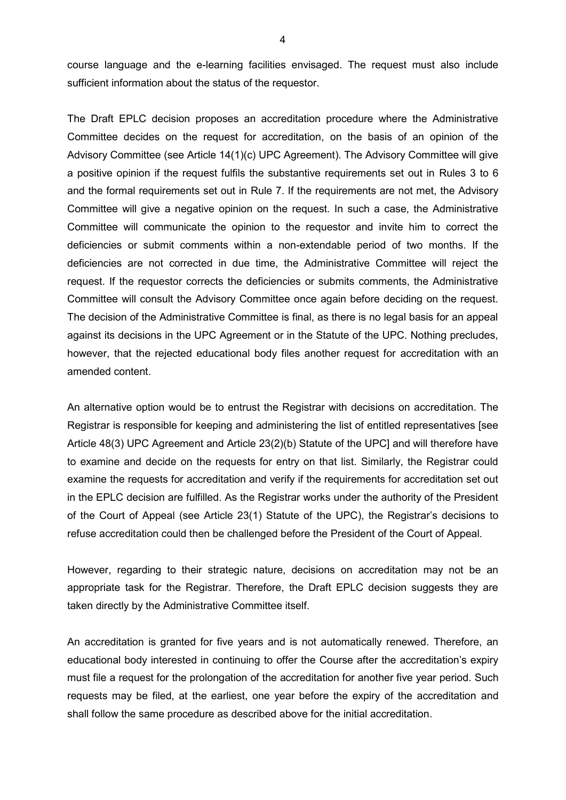course language and the e-learning facilities envisaged. The request must also include sufficient information about the status of the requestor.

The Draft EPLC decision proposes an accreditation procedure where the Administrative Committee decides on the request for accreditation, on the basis of an opinion of the Advisory Committee (see Article 14(1)(c) UPC Agreement). The Advisory Committee will give a positive opinion if the request fulfils the substantive requirements set out in Rules 3 to 6 and the formal requirements set out in Rule 7. If the requirements are not met, the Advisory Committee will give a negative opinion on the request. In such a case, the Administrative Committee will communicate the opinion to the requestor and invite him to correct the deficiencies or submit comments within a non-extendable period of two months. If the deficiencies are not corrected in due time, the Administrative Committee will reject the request. If the requestor corrects the deficiencies or submits comments, the Administrative Committee will consult the Advisory Committee once again before deciding on the request. The decision of the Administrative Committee is final, as there is no legal basis for an appeal against its decisions in the UPC Agreement or in the Statute of the UPC. Nothing precludes, however, that the rejected educational body files another request for accreditation with an amended content.

An alternative option would be to entrust the Registrar with decisions on accreditation. The Registrar is responsible for keeping and administering the list of entitled representatives [see Article 48(3) UPC Agreement and Article 23(2)(b) Statute of the UPC] and will therefore have to examine and decide on the requests for entry on that list. Similarly, the Registrar could examine the requests for accreditation and verify if the requirements for accreditation set out in the EPLC decision are fulfilled. As the Registrar works under the authority of the President of the Court of Appeal (see Article 23(1) Statute of the UPC), the Registrar's decisions to refuse accreditation could then be challenged before the President of the Court of Appeal.

However, regarding to their strategic nature, decisions on accreditation may not be an appropriate task for the Registrar. Therefore, the Draft EPLC decision suggests they are taken directly by the Administrative Committee itself.

An accreditation is granted for five years and is not automatically renewed. Therefore, an educational body interested in continuing to offer the Course after the accreditation's expiry must file a request for the prolongation of the accreditation for another five year period. Such requests may be filed, at the earliest, one year before the expiry of the accreditation and shall follow the same procedure as described above for the initial accreditation.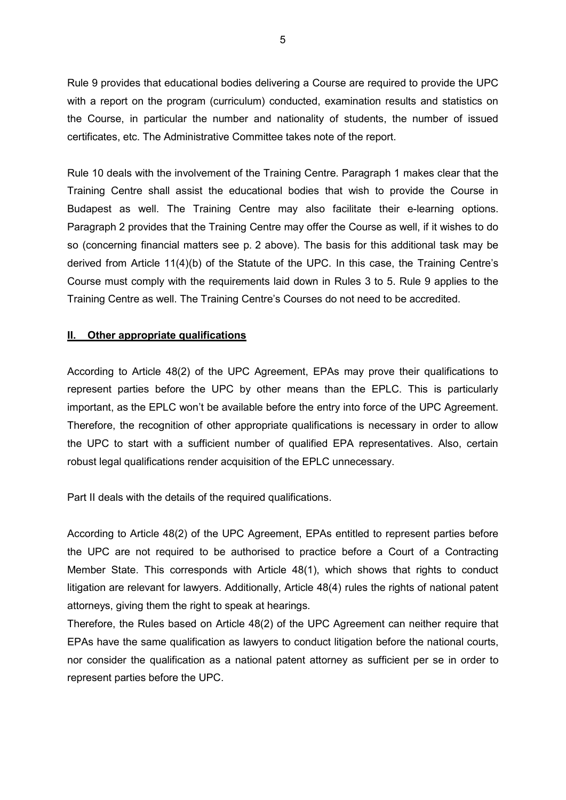Rule 9 provides that educational bodies delivering a Course are required to provide the UPC with a report on the program (curriculum) conducted, examination results and statistics on the Course, in particular the number and nationality of students, the number of issued certificates, etc. The Administrative Committee takes note of the report.

Rule 10 deals with the involvement of the Training Centre. Paragraph 1 makes clear that the Training Centre shall assist the educational bodies that wish to provide the Course in Budapest as well. The Training Centre may also facilitate their e-learning options. Paragraph 2 provides that the Training Centre may offer the Course as well, if it wishes to do so (concerning financial matters see p. 2 above). The basis for this additional task may be derived from Article 11(4)(b) of the Statute of the UPC. In this case, the Training Centre's Course must comply with the requirements laid down in Rules 3 to 5. Rule 9 applies to the Training Centre as well. The Training Centre's Courses do not need to be accredited.

#### **II. Other appropriate qualifications**

According to Article 48(2) of the UPC Agreement, EPAs may prove their qualifications to represent parties before the UPC by other means than the EPLC. This is particularly important, as the EPLC won't be available before the entry into force of the UPC Agreement. Therefore, the recognition of other appropriate qualifications is necessary in order to allow the UPC to start with a sufficient number of qualified EPA representatives. Also, certain robust legal qualifications render acquisition of the EPLC unnecessary.

Part II deals with the details of the required qualifications.

According to Article 48(2) of the UPC Agreement, EPAs entitled to represent parties before the UPC are not required to be authorised to practice before a Court of a Contracting Member State. This corresponds with Article 48(1), which shows that rights to conduct litigation are relevant for lawyers. Additionally, Article 48(4) rules the rights of national patent attorneys, giving them the right to speak at hearings.

Therefore, the Rules based on Article 48(2) of the UPC Agreement can neither require that EPAs have the same qualification as lawyers to conduct litigation before the national courts, nor consider the qualification as a national patent attorney as sufficient per se in order to represent parties before the UPC.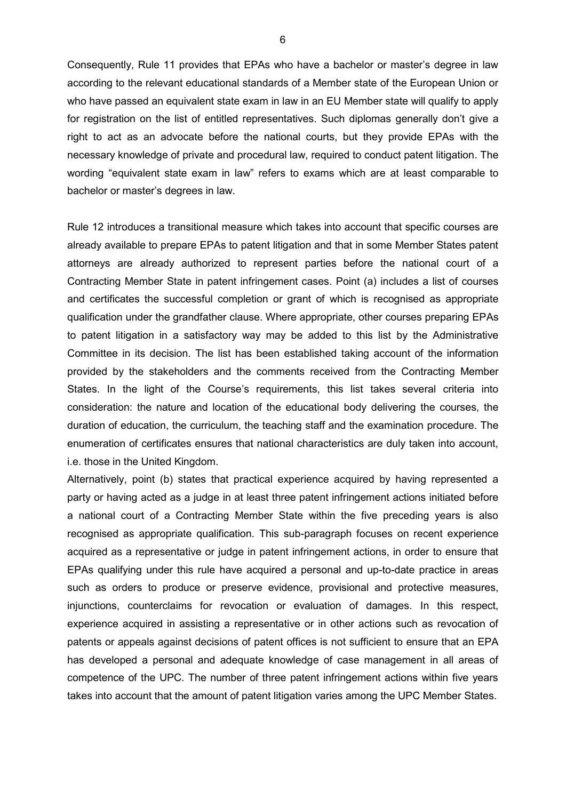Consequently, Rule 11 provides that EPAs who have a bachelor or master's degree in law according to the relevant educational standards of a Member state of the European Union or who have passed an equivalent state exam in law in an EU Member state will qualify to apply for registration on the list of entitled representatives. Such diplomas generally don't give a right to act as an advocate before the national courts, but they provide EPAs with the necessary knowledge of private and procedural law, required to conduct patent litigation. The wording "equivalent state exam in law" refers to exams which are at least comparable to bachelor or master's degrees in law.

Rule 12 introduces a transitional measure which takes into account that specific courses are already available to prepare EPAs to patent litigation and that in some Member States patent attorneys are already authorized to represent parties before the national court of a Contracting Member State in patent infringement cases. Point (a) includes a list of courses and certificates the successful completion or grant of which is recognised as appropriate qualification under the grandfather clause. Where appropriate, other courses preparing EPAs to patent litigation in a satisfactory way may be added to this list by the Administrative Committee in its decision. The list has been established taking account of the information provided by the stakeholders and the comments received from the Contracting Member States. In the light of the Course's requirements, this list takes several criteria into consideration: the nature and location of the educational body delivering the courses, the duration of education, the curriculum, the teaching staff and the examination procedure. The enumeration of certificates ensures that national characteristics are duly taken into account, i.e. those in the United Kingdom.

Alternatively, point (b) states that practical experience acquired by having represented a party or having acted as a judge in at least three patent infringement actions initiated before a national court of a Contracting Member State within the five preceding years is also recognised as appropriate qualification. This sub-paragraph focuses on recent experience acquired as a representative or judge in patent infringement actions, in order to ensure that EPAs qualifying under this rule have acquired a personal and up-to-date practice in areas such as orders to produce or preserve evidence, provisional and protective measures, injunctions, counterclaims for revocation or evaluation of damages. In this respect, experience acquired in assisting a representative or in other actions such as revocation of patents or appeals against decisions of patent offices is not sufficient to ensure that an EPA has developed a personal and adequate knowledge of case management in all areas of competence of the UPC. The number of three patent infringement actions within five years takes into account that the amount of patent litigation varies among the UPC Member States.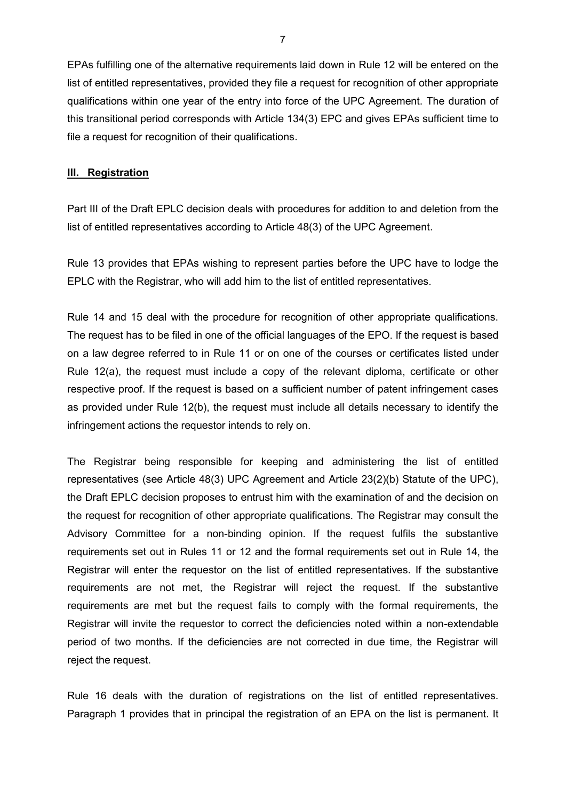EPAs fulfilling one of the alternative requirements laid down in Rule 12 will be entered on the list of entitled representatives, provided they file a request for recognition of other appropriate qualifications within one year of the entry into force of the UPC Agreement. The duration of this transitional period corresponds with Article 134(3) EPC and gives EPAs sufficient time to file a request for recognition of their qualifications.

#### **III. Registration**

Part III of the Draft EPLC decision deals with procedures for addition to and deletion from the list of entitled representatives according to Article 48(3) of the UPC Agreement.

Rule 13 provides that EPAs wishing to represent parties before the UPC have to lodge the EPLC with the Registrar, who will add him to the list of entitled representatives.

Rule 14 and 15 deal with the procedure for recognition of other appropriate qualifications. The request has to be filed in one of the official languages of the EPO. If the request is based on a law degree referred to in Rule 11 or on one of the courses or certificates listed under Rule 12(a), the request must include a copy of the relevant diploma, certificate or other respective proof. If the request is based on a sufficient number of patent infringement cases as provided under Rule 12(b), the request must include all details necessary to identify the infringement actions the requestor intends to rely on.

The Registrar being responsible for keeping and administering the list of entitled representatives (see Article 48(3) UPC Agreement and Article 23(2)(b) Statute of the UPC), the Draft EPLC decision proposes to entrust him with the examination of and the decision on the request for recognition of other appropriate qualifications. The Registrar may consult the Advisory Committee for a non-binding opinion. If the request fulfils the substantive requirements set out in Rules 11 or 12 and the formal requirements set out in Rule 14, the Registrar will enter the requestor on the list of entitled representatives. If the substantive requirements are not met, the Registrar will reject the request. If the substantive requirements are met but the request fails to comply with the formal requirements, the Registrar will invite the requestor to correct the deficiencies noted within a non-extendable period of two months. If the deficiencies are not corrected in due time, the Registrar will reject the request.

Rule 16 deals with the duration of registrations on the list of entitled representatives. Paragraph 1 provides that in principal the registration of an EPA on the list is permanent. It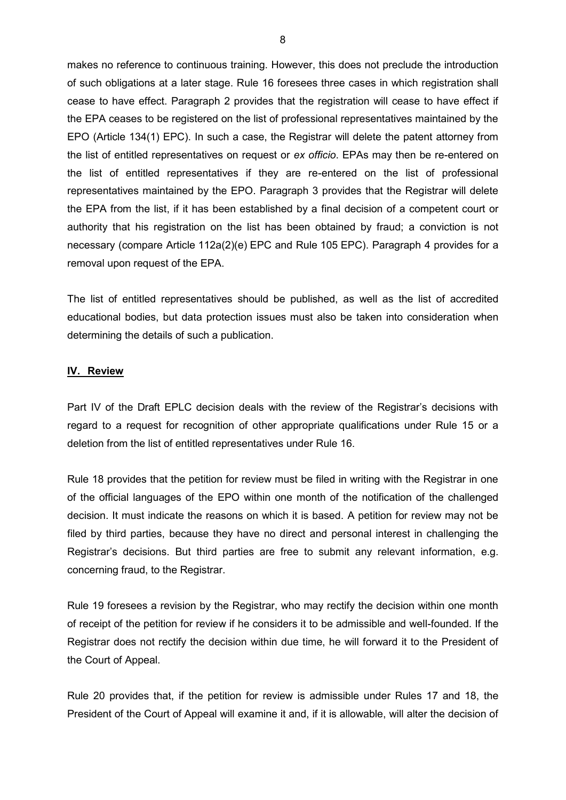makes no reference to continuous training. However, this does not preclude the introduction of such obligations at a later stage. Rule 16 foresees three cases in which registration shall cease to have effect. Paragraph 2 provides that the registration will cease to have effect if the EPA ceases to be registered on the list of professional representatives maintained by the EPO (Article 134(1) EPC). In such a case, the Registrar will delete the patent attorney from the list of entitled representatives on request or *ex officio*. EPAs may then be re-entered on the list of entitled representatives if they are re-entered on the list of professional representatives maintained by the EPO. Paragraph 3 provides that the Registrar will delete the EPA from the list, if it has been established by a final decision of a competent court or authority that his registration on the list has been obtained by fraud; a conviction is not necessary (compare Article 112a(2)(e) EPC and Rule 105 EPC). Paragraph 4 provides for a removal upon request of the EPA.

The list of entitled representatives should be published, as well as the list of accredited educational bodies, but data protection issues must also be taken into consideration when determining the details of such a publication.

#### **IV. Review**

Part IV of the Draft EPLC decision deals with the review of the Registrar's decisions with regard to a request for recognition of other appropriate qualifications under Rule 15 or a deletion from the list of entitled representatives under Rule 16.

Rule 18 provides that the petition for review must be filed in writing with the Registrar in one of the official languages of the EPO within one month of the notification of the challenged decision. It must indicate the reasons on which it is based. A petition for review may not be filed by third parties, because they have no direct and personal interest in challenging the Registrar's decisions. But third parties are free to submit any relevant information, e.g. concerning fraud, to the Registrar.

Rule 19 foresees a revision by the Registrar, who may rectify the decision within one month of receipt of the petition for review if he considers it to be admissible and well-founded. If the Registrar does not rectify the decision within due time, he will forward it to the President of the Court of Appeal.

Rule 20 provides that, if the petition for review is admissible under Rules 17 and 18, the President of the Court of Appeal will examine it and, if it is allowable, will alter the decision of